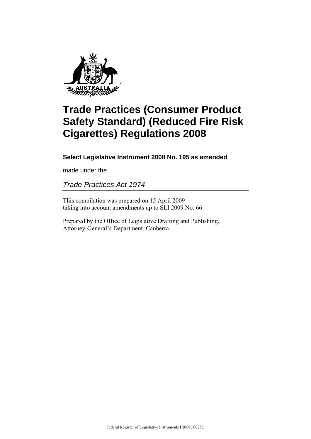

# **Trade Practices (Consumer Product Safety Standard) (Reduced Fire Risk Cigarettes) Regulations 2008**

### **Select Legislative Instrument 2008 No. 195 as amended**

made under the

*Trade Practices Act 1974* 

This compilation was prepared on 15 April 2009 taking into account amendments up to SLI 2009 No. 66

Prepared by the Office of Legislative Drafting and Publishing, Attorney-General's Department, Canberra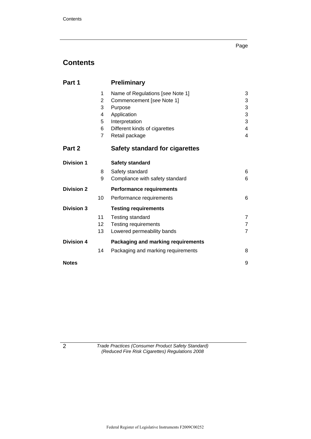#### Page

# **Contents**

| Part 1            |                | <b>Preliminary</b>                    |                |
|-------------------|----------------|---------------------------------------|----------------|
|                   | 1              | Name of Regulations [see Note 1]      | 3              |
|                   | $\overline{2}$ | Commencement [see Note 1]             | 3              |
|                   | 3              | Purpose                               | 3              |
|                   | 4              | Application                           | 3              |
|                   | 5              | Interpretation                        | 3              |
|                   | 6              | Different kinds of cigarettes         | 4              |
|                   | $\overline{7}$ | Retail package                        | 4              |
| Part 2            |                | <b>Safety standard for cigarettes</b> |                |
| <b>Division 1</b> |                | <b>Safety standard</b>                |                |
|                   | 8              | Safety standard                       | 6              |
|                   | 9              | Compliance with safety standard       | 6              |
| <b>Division 2</b> |                | <b>Performance requirements</b>       |                |
|                   | 10             | Performance requirements              | 6              |
| <b>Division 3</b> |                | <b>Testing requirements</b>           |                |
|                   | 11             | Testing standard                      | 7              |
|                   | 12             | <b>Testing requirements</b>           | $\overline{7}$ |
|                   | 13             | Lowered permeability bands            | $\overline{7}$ |
| <b>Division 4</b> |                | Packaging and marking requirements    |                |
|                   | 14             | Packaging and marking requirements    | 8              |
| <b>Notes</b>      |                |                                       | 9              |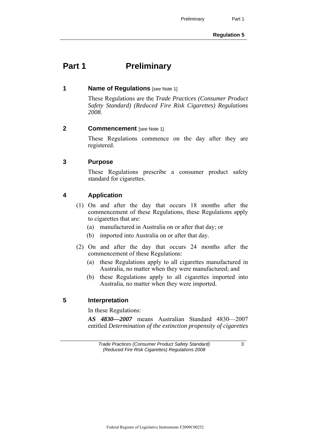# **Part 1** Preliminary

#### **1 Name of Regulations** [*see* Note 1]

 These Regulations are the *Trade Practices (Consumer Product Safety Standard) (Reduced Fire Risk Cigarettes) Regulations 2008*.

#### **2 Commencement** [*see* Note 1]

 These Regulations commence on the day after they are registered.

#### **3 Purpose**

 These Regulations prescribe a consumer product safety standard for cigarettes.

#### **4 Application**

- (1) On and after the day that occurs 18 months after the commencement of these Regulations, these Regulations apply to cigarettes that are:
	- (a) manufactured in Australia on or after that day; or
	- (b) imported into Australia on or after that day.
- (2) On and after the day that occurs 24 months after the commencement of these Regulations:
	- (a) these Regulations apply to all cigarettes manufactured in Australia, no matter when they were manufactured; and
	- (b) these Regulations apply to all cigarettes imported into Australia, no matter when they were imported.

#### **5 Interpretation**

In these Regulations:

*AS 4830—2007* means Australian Standard 4830—2007 entitled *Determination of the extinction propensity of cigarettes*

*Trade Practices (Consumer Product Safety Standard) (Reduced Fire Risk Cigarettes) Regulations 2008* 

3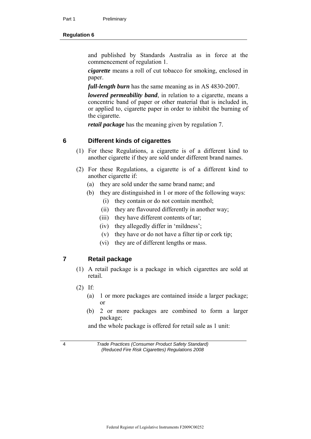#### **Regulation 6**

and published by Standards Australia as in force at the commencement of regulation 1.

*cigarette* means a roll of cut tobacco for smoking, enclosed in paper.

*full-length burn* has the same meaning as in AS 4830-2007.

*lowered permeability band*, in relation to a cigarette, means a concentric band of paper or other material that is included in, or applied to, cigarette paper in order to inhibit the burning of the cigarette.

*retail package* has the meaning given by regulation 7.

#### **6 Different kinds of cigarettes**

- (1) For these Regulations, a cigarette is of a different kind to another cigarette if they are sold under different brand names.
- (2) For these Regulations, a cigarette is of a different kind to another cigarette if:
	- (a) they are sold under the same brand name; and
	- (b) they are distinguished in 1 or more of the following ways:
		- (i) they contain or do not contain menthol;
		- (ii) they are flavoured differently in another way;
		- (iii) they have different contents of tar;
		- (iv) they allegedly differ in 'mildness';
		- (v) they have or do not have a filter tip or cork tip;
		- (vi) they are of different lengths or mass.

#### **7 Retail package**

- (1) A retail package is a package in which cigarettes are sold at retail.
- (2) If:
	- (a) 1 or more packages are contained inside a larger package; or
	- (b) 2 or more packages are combined to form a larger package;

and the whole package is offered for retail sale as 1 unit: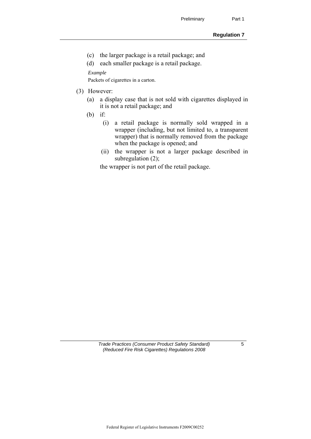- (c) the larger package is a retail package; and
- (d) each smaller package is a retail package.

*Example* 

Packets of cigarettes in a carton.

#### (3) However:

- (a) a display case that is not sold with cigarettes displayed in it is not a retail package; and
- (b) if:
	- (i) a retail package is normally sold wrapped in a wrapper (including, but not limited to, a transparent wrapper) that is normally removed from the package when the package is opened; and
	- (ii) the wrapper is not a larger package described in subregulation (2);

the wrapper is not part of the retail package.

*Trade Practices (Consumer Product Safety Standard) (Reduced Fire Risk Cigarettes) Regulations 2008* 

5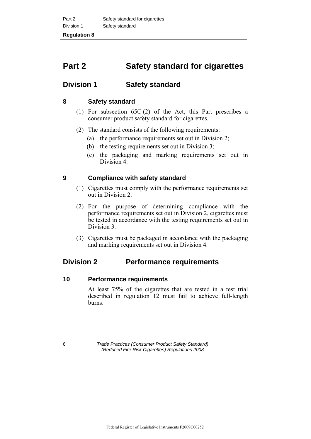# **Part 2 Safety standard for cigarettes**

## **Division 1 Safety standard**

#### **8 Safety standard**

- (1) For subsection 65C (2) of the Act, this Part prescribes a consumer product safety standard for cigarettes.
- (2) The standard consists of the following requirements:
	- (a) the performance requirements set out in Division 2;
	- (b) the testing requirements set out in Division 3;
	- (c) the packaging and marking requirements set out in Division 4.

#### **9 Compliance with safety standard**

- (1) Cigarettes must comply with the performance requirements set out in Division 2.
- (2) For the purpose of determining compliance with the performance requirements set out in Division 2, cigarettes must be tested in accordance with the testing requirements set out in Division 3.
- (3) Cigarettes must be packaged in accordance with the packaging and marking requirements set out in Division 4.

### **Division 2 Performance requirements**

#### **10 Performance requirements**

 At least 75% of the cigarettes that are tested in a test trial described in regulation 12 must fail to achieve full-length burns.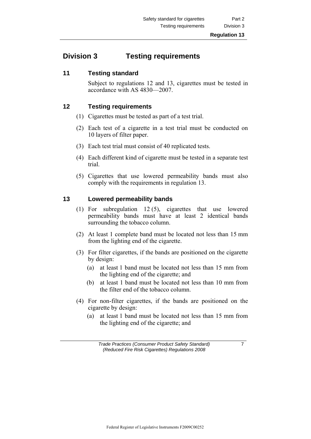# **Division 3 Testing requirements**

#### **11 Testing standard**

 Subject to regulations 12 and 13, cigarettes must be tested in accordance with AS 4830—2007.

#### **12 Testing requirements**

- (1) Cigarettes must be tested as part of a test trial.
- (2) Each test of a cigarette in a test trial must be conducted on 10 layers of filter paper.
- (3) Each test trial must consist of 40 replicated tests.
- (4) Each different kind of cigarette must be tested in a separate test trial.
- (5) Cigarettes that use lowered permeability bands must also comply with the requirements in regulation 13.

#### **13 Lowered permeability bands**

- (1) For subregulation 12 (5), cigarettes that use lowered permeability bands must have at least 2 identical bands surrounding the tobacco column.
- (2) At least 1 complete band must be located not less than 15 mm from the lighting end of the cigarette.
- (3) For filter cigarettes, if the bands are positioned on the cigarette by design:
	- (a) at least 1 band must be located not less than 15 mm from the lighting end of the cigarette; and
	- (b) at least 1 band must be located not less than 10 mm from the filter end of the tobacco column.
- (4) For non-filter cigarettes, if the bands are positioned on the cigarette by design:
	- (a) at least 1 band must be located not less than 15 mm from the lighting end of the cigarette; and

*Trade Practices (Consumer Product Safety Standard) (Reduced Fire Risk Cigarettes) Regulations 2008* 

7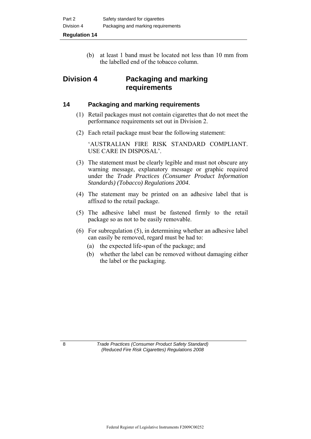(b) at least 1 band must be located not less than 10 mm from the labelled end of the tobacco column.

## **Division 4 Packaging and marking requirements**

#### **14 Packaging and marking requirements**

- (1) Retail packages must not contain cigarettes that do not meet the performance requirements set out in Division 2.
- (2) Each retail package must bear the following statement:

 'AUSTRALIAN FIRE RISK STANDARD COMPLIANT. USE CARE IN DISPOSAL'.

- (3) The statement must be clearly legible and must not obscure any warning message, explanatory message or graphic required under the *Trade Practices (Consumer Product Information Standards) (Tobacco) Regulations 2004*.
- (4) The statement may be printed on an adhesive label that is affixed to the retail package.
- (5) The adhesive label must be fastened firmly to the retail package so as not to be easily removable.
- (6) For subregulation (5), in determining whether an adhesive label can easily be removed, regard must be had to:
	- (a) the expected life-span of the package; and
	- (b) whether the label can be removed without damaging either the label or the packaging.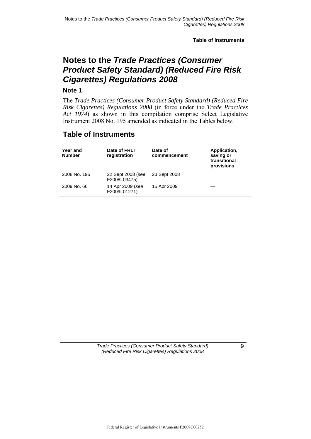**Table of Instruments** 

# **Notes to the** *Trade Practices (Consumer Product Safety Standard) (Reduced Fire Risk Cigarettes) Regulations 2008*

#### **Note 1**

The *Trade Practices (Consumer Product Safety Standard) (Reduced Fire Risk Cigarettes) Regulations 2008* (in force under the *Trade Practices Act 1974*) as shown in this compilation comprise Select Legislative Instrument 2008 No. 195 amended as indicated in the Tables below.

### **Table of Instruments**

| Year and<br><b>Number</b> | Date of FRLI<br>registration      | Date of<br>commencement | Application,<br>saving or<br>transitional<br>provisions |
|---------------------------|-----------------------------------|-------------------------|---------------------------------------------------------|
| 2008 No. 195              | 22 Sept 2008 (see<br>F2008L03475) | 23 Sept 2008            |                                                         |
| 2009 No. 66               | 14 Apr 2009 (see<br>F2009L01271)  | 15 Apr 2009             |                                                         |

*Trade Practices (Consumer Product Safety Standard) (Reduced Fire Risk Cigarettes) Regulations 2008* 

 $\overline{9}$